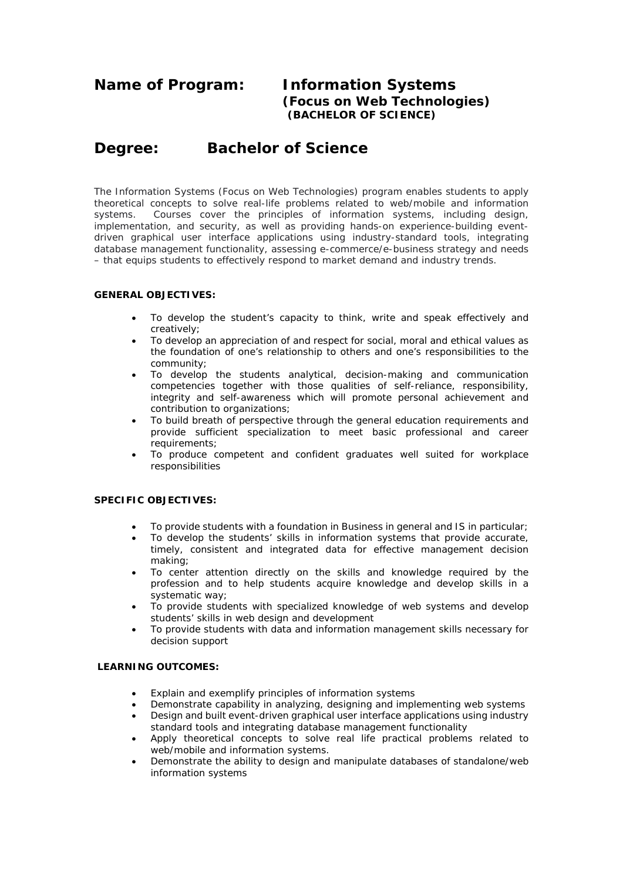# **Name of Program: Information Systems (Focus on Web Technologies) (BACHELOR OF SCIENCE)**

# **Degree: Bachelor of Science**

The Information Systems (Focus on Web Technologies) program enables students to apply theoretical concepts to solve real-life problems related to web/mobile and information systems. Courses cover the principles of information systems, including design, implementation, and security, as well as providing hands-on experience-building eventdriven graphical user interface applications using industry-standard tools, integrating database management functionality, assessing e-commerce/e-business strategy and needs – that equips students to effectively respond to market demand and industry trends.

## **GENERAL OBJECTIVES:**

- To develop the student's capacity to think, write and speak effectively and creatively;
- To develop an appreciation of and respect for social, moral and ethical values as the foundation of one's relationship to others and one's responsibilities to the community;
- To develop the students analytical, decision-making and communication competencies together with those qualities of self-reliance, responsibility, integrity and self-awareness which will promote personal achievement and contribution to organizations;
- To build breath of perspective through the general education requirements and provide sufficient specialization to meet basic professional and career requirements;
- To produce competent and confident graduates well suited for workplace responsibilities

## **SPECIFIC OBJECTIVES:**

- To provide students with a foundation in Business in general and IS in particular;
- To develop the students' skills in information systems that provide accurate, timely, consistent and integrated data for effective management decision making;
- To center attention directly on the skills and knowledge required by the profession and to help students acquire knowledge and develop skills in a systematic way;
- To provide students with specialized knowledge of web systems and develop students' skills in web design and development
- To provide students with data and information management skills necessary for decision support

#### **LEARNING OUTCOMES:**

- Explain and exemplify principles of information systems
- Demonstrate capability in analyzing, designing and implementing web systems
- Design and built event-driven graphical user interface applications using industry standard tools and integrating database management functionality
- Apply theoretical concepts to solve real life practical problems related to web/mobile and information systems.
- Demonstrate the ability to design and manipulate databases of standalone/web information systems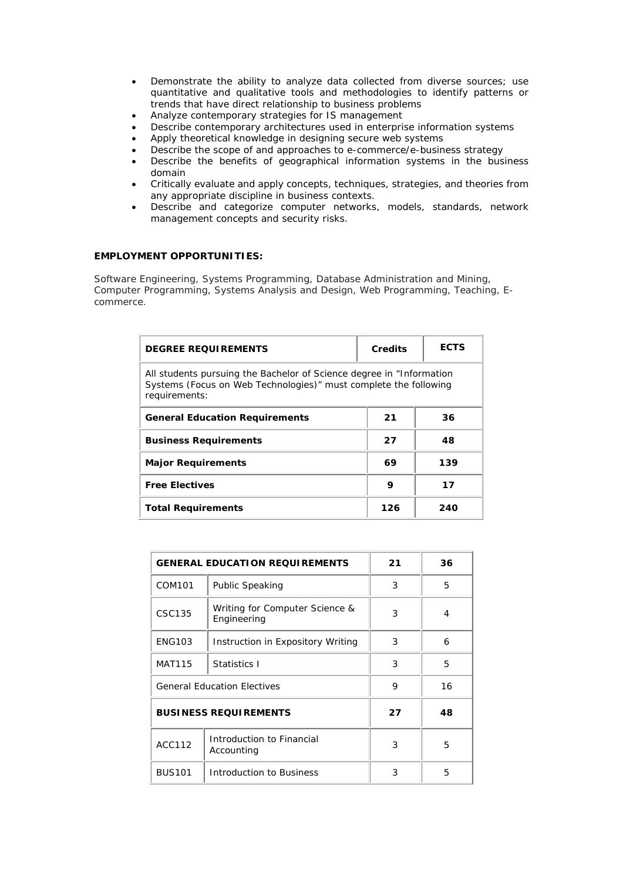- Demonstrate the ability to analyze data collected from diverse sources; use quantitative and qualitative tools and methodologies to identify patterns or trends that have direct relationship to business problems
- Analyze contemporary strategies for IS management
- Describe contemporary architectures used in enterprise information systems
- Apply theoretical knowledge in designing secure web systems
- Describe the scope of and approaches to e-commerce/e-business strategy
- Describe the benefits of geographical information systems in the business domain
- Critically evaluate and apply concepts, techniques, strategies, and theories from any appropriate discipline in business contexts.
- Describe and categorize computer networks, models, standards, network management concepts and security risks.

#### **EMPLOYMENT OPPORTUNITIES:**

Software Engineering, Systems Programming, Database Administration and Mining, Computer Programming, Systems Analysis and Design, Web Programming, Teaching, Ecommerce.

| <b>DEGREE REQUIREMENTS</b>                                                                                                                                 | <b>Credits</b> | <b>ECTS</b> |  |
|------------------------------------------------------------------------------------------------------------------------------------------------------------|----------------|-------------|--|
| All students pursuing the Bachelor of Science degree in "Information"<br>Systems (Focus on Web Technologies)" must complete the following<br>requirements: |                |             |  |
| <b>General Education Requirements</b>                                                                                                                      | 21             | 36          |  |
| <b>Business Requirements</b>                                                                                                                               | 27             | 48          |  |
| <b>Major Requirements</b>                                                                                                                                  | 69             | 139         |  |
| <b>Free Electives</b>                                                                                                                                      | 9              | 17          |  |
| <b>Total Requirements</b>                                                                                                                                  | 126            | 240         |  |

|                              | <b>GENERAL EDUCATION REQUIREMENTS</b>         | 21 | 36 |
|------------------------------|-----------------------------------------------|----|----|
| COM101                       | <b>Public Speaking</b>                        | 3  | 5  |
| CSC135                       | Writing for Computer Science &<br>Engineering | 3  | 4  |
| <b>ENG103</b>                | Instruction in Expository Writing             | 3  | 6  |
| <b>MAT115</b>                | Statistics I                                  | 3  | 5  |
|                              | <b>General Education Electives</b>            | 9  | 16 |
| <b>BUSINESS REQUIREMENTS</b> |                                               | 27 | 48 |
| ACC112                       | Introduction to Financial<br>Accounting       | 3  | 5  |
| <b>BUS101</b>                | Introduction to Business                      | 3  | 5  |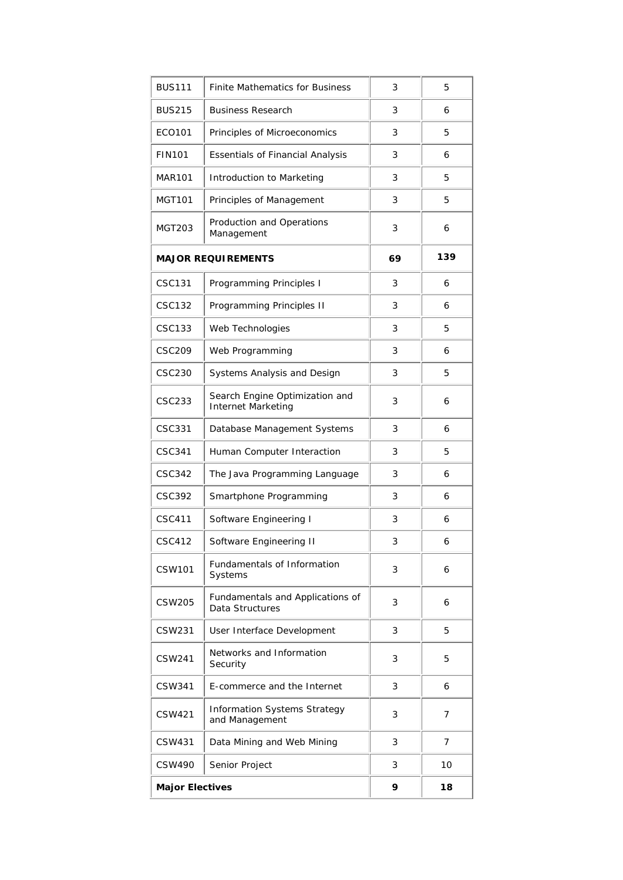| <b>BUS111</b>          | <b>Finite Mathematics for Business</b>                      | 3  | 5   |
|------------------------|-------------------------------------------------------------|----|-----|
| <b>BUS215</b>          | <b>Business Research</b>                                    | 3  | 6   |
| ECO101                 | Principles of Microeconomics                                | 3  | 5   |
| <b>FIN101</b>          | <b>Essentials of Financial Analysis</b>                     | 3  | 6   |
| <b>MAR101</b>          | Introduction to Marketing                                   | 3  | 5   |
| <b>MGT101</b>          | Principles of Management                                    | 3  | 5   |
| MGT203                 | Production and Operations<br>Management                     | 3  | 6   |
|                        | <b>MAJOR REQUIREMENTS</b>                                   | 69 | 139 |
| CSC131                 | Programming Principles I                                    | 3  | 6   |
| <b>CSC132</b>          | Programming Principles II                                   | 3  | 6   |
| <b>CSC133</b>          | Web Technologies                                            | 3  | 5   |
| <b>CSC209</b>          | Web Programming                                             | 3  | 6   |
| <b>CSC230</b>          | Systems Analysis and Design                                 | 3  | 5   |
| <b>CSC233</b>          | Search Engine Optimization and<br><b>Internet Marketing</b> | 3  | 6   |
| CSC331                 | Database Management Systems                                 | 3  | 6   |
| CSC341                 | Human Computer Interaction                                  | 3  | 5   |
| CSC342                 | The Java Programming Language                               | 3  | 6   |
| <b>CSC392</b>          | Smartphone Programming                                      | 3  | 6   |
| CSC411                 | Software Engineering I                                      | 3  | 6   |
| CSC412                 | Software Engineering II                                     | 3  | 6   |
| CSW101                 | Fundamentals of Information<br>Systems                      | 3  | 6   |
| CSW205                 | Fundamentals and Applications of<br>Data Structures         | 3  | 6   |
| CSW231                 | User Interface Development                                  | 3  | 5   |
| <b>CSW241</b>          | Networks and Information<br>Security                        | 3  | 5   |
| CSW341                 | E-commerce and the Internet                                 | 3  | 6   |
| CSW421                 | Information Systems Strategy<br>and Management              | 3  | 7   |
| CSW431                 | Data Mining and Web Mining                                  | 3  | 7   |
| CSW490                 | Senior Project                                              | 3  | 10  |
| <b>Major Electives</b> |                                                             | 9  | 18  |